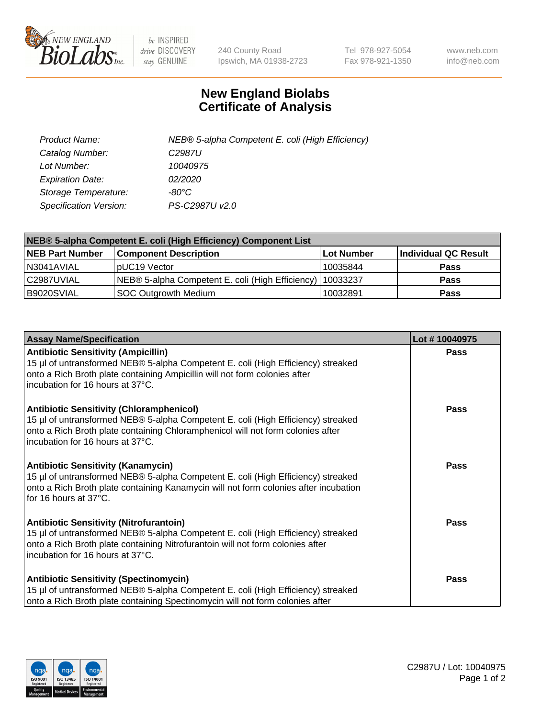

 $be$  INSPIRED drive DISCOVERY stay GENUINE

240 County Road Ipswich, MA 01938-2723 Tel 978-927-5054 Fax 978-921-1350 www.neb.com info@neb.com

## **New England Biolabs Certificate of Analysis**

| Product Name:                 | NEB® 5-alpha Competent E. coli (High Efficiency) |
|-------------------------------|--------------------------------------------------|
| Catalog Number:               | C <sub>2987</sub> U                              |
| Lot Number:                   | 10040975                                         |
| <b>Expiration Date:</b>       | <i>02/2020</i>                                   |
| Storage Temperature:          | -80°C                                            |
| <b>Specification Version:</b> | PS-C2987U v2.0                                   |

| NEB® 5-alpha Competent E. coli (High Efficiency) Component List |                                                  |            |                      |  |
|-----------------------------------------------------------------|--------------------------------------------------|------------|----------------------|--|
| <b>NEB Part Number</b>                                          | <b>Component Description</b>                     | Lot Number | Individual QC Result |  |
| N3041AVIAL                                                      | pUC19 Vector                                     | 10035844   | <b>Pass</b>          |  |
| C2987UVIAL                                                      | NEB® 5-alpha Competent E. coli (High Efficiency) | 10033237   | <b>Pass</b>          |  |
| B9020SVIAL                                                      | SOC Outgrowth Medium                             | 10032891   | <b>Pass</b>          |  |

| <b>Assay Name/Specification</b>                                                                                                                                                                                                                            | Lot #10040975 |
|------------------------------------------------------------------------------------------------------------------------------------------------------------------------------------------------------------------------------------------------------------|---------------|
| <b>Antibiotic Sensitivity (Ampicillin)</b><br>15 µl of untransformed NEB® 5-alpha Competent E. coli (High Efficiency) streaked<br>onto a Rich Broth plate containing Ampicillin will not form colonies after<br>incubation for 16 hours at 37°C.           | <b>Pass</b>   |
| <b>Antibiotic Sensitivity (Chloramphenicol)</b><br>15 µl of untransformed NEB® 5-alpha Competent E. coli (High Efficiency) streaked<br>onto a Rich Broth plate containing Chloramphenicol will not form colonies after<br>incubation for 16 hours at 37°C. | Pass          |
| Antibiotic Sensitivity (Kanamycin)<br>15 µl of untransformed NEB® 5-alpha Competent E. coli (High Efficiency) streaked<br>onto a Rich Broth plate containing Kanamycin will not form colonies after incubation<br>for 16 hours at 37°C.                    | Pass          |
| <b>Antibiotic Sensitivity (Nitrofurantoin)</b><br>15 µl of untransformed NEB® 5-alpha Competent E. coli (High Efficiency) streaked<br>onto a Rich Broth plate containing Nitrofurantoin will not form colonies after<br>incubation for 16 hours at 37°C.   | <b>Pass</b>   |
| <b>Antibiotic Sensitivity (Spectinomycin)</b><br>15 µl of untransformed NEB® 5-alpha Competent E. coli (High Efficiency) streaked<br>onto a Rich Broth plate containing Spectinomycin will not form colonies after                                         | Pass          |